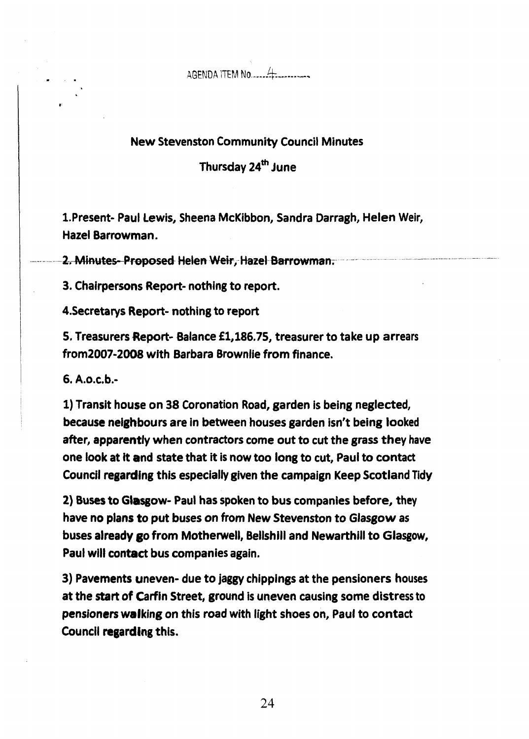## New Stevenston Community Council Minutes

Thursday **24\*** June

1.Present- Paul **Lewis,** Sheena **McKibbon,** Sandra Darragh, **Helm** Weir, **Hazel** Barrowman.

2. Minutes-Proposed Helen Weir, Hazel Barrowman.

**3.** Chairpersons Report- nothing to **report.** 

**4.Secretarys** Report- nothing to report

**5,** Treasurers **Report-** Balance **fl,186,75,** treasurer to take up arrears **from2007-2008** with Barbara Brownlie from finance.

*6.* **A.0.c.b.-** 

1) Transit house **on 38** Coronation **Road, garden** is being neglected, because neighbours are in between houses garden isn't **being looked**  after, apparently when contractors **come** out to **cut** the **grass** they have one look at it and state that it is now too long to cut, Paul to contact Council regarding this especially given the campaign Keep Scotland Tidy

**2) Buses** to **Glasgow-** Paul **has** spoken to bus companies before, they have **no plans** to put buses on from New Stevenston to **GJasgow** as **buses already go from Motherwell, Bellshill and Newarthill to Glasgow,** Paul **will contact bus** companies again.

**3)** Pavements uneven- due to jaggy **chippings** at the **pensioners** houses at the **start** of Carfin Street, ground is uneven causing **some** distress to pensioners waking **on** this **road with** light shoes **on,** Paul to contact **Council** regarding this.

24